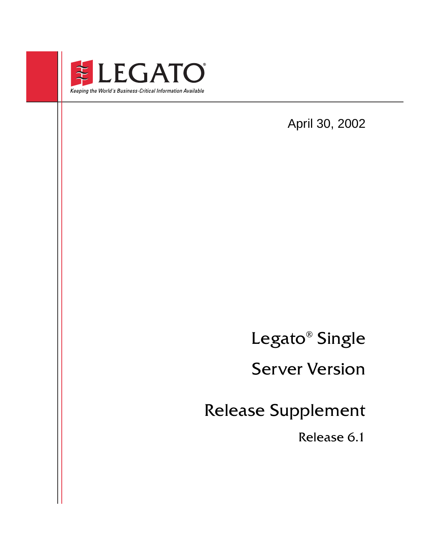

April 30, 2002

Legato<sup>®</sup> Single

Module for EMPLE Services Server Version

Release Supplement

Release U.I Release 6.1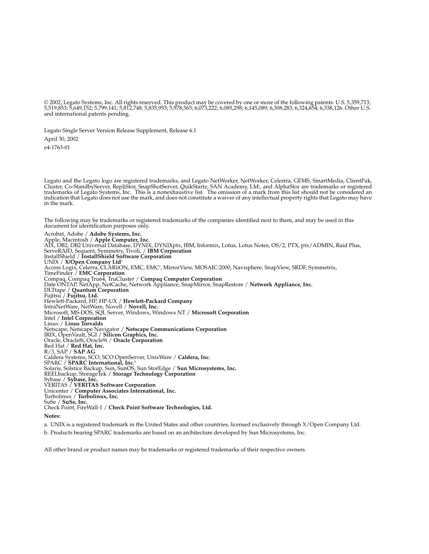© 2002, Legato Systems, Inc. All rights reserved. This product may be covered by one or more of the following patents: U.S. 5,359,713; 5,519,853; 5,649,152; 5,799,141; 5,812,748; 5,835,953; 5,978,565; 6,073,222; 6,085,298; 6,145,089; 6,308,283; 6,324,654; 6,338,126. Other U.S. and international patents pending.

Legato Single Server Version Release Supplement, Release 6.1

April 30, 2002

e4-1763-01

Legato and the Legato logo are registered trademarks, and Legato NetWorker, NetWorker, Celestra, GEMS, SmartMedia, ClientPak, Cluster, Co-StandbyServer, RepliStor, SnapShotServer, QuikStartz, SAN Academy, LM:, and AlphaStor are trademarks or registered trademarks of Legato Systems, Inc. This is a nonexhaustive list. The omission of a mark from this list should not be considered an<br>indication that Legato does not use the mark, and does not constitute a waiver of any int in the mark.

The following may be trademarks or registered trademarks of the companies identified next to them, and may be used in this document for identification purposes only.

Acrobat, Adobe / **Adobe Systems, Inc.** Apple, Macintosh / **Apple Computer, Inc.** AIX, DB2, DB2 Universal Database, DYNIX, DYNIXptx, IBM, Informix, Lotus, Lotus Notes, OS/2, PTX, ptx/ADMIN, Raid Plus, ServeRAID, Sequent, Symmetry, Tivoli, / **IBM Corporation** InstallShield / **InstallShield Software Corporation** UNIX / **X/Open Company Ltd**<sup>a</sup> Access Logix, Celerra, CLARiiON, EMC, EMC<sup>2</sup>, MirrorView, MOSAIC:2000, Navisphere, SnapView, SRDF, Symmetrix, TimeFinder / **EMC Corporation** Compaq, Compaq Tru64, TruCluster / **Compaq Computer Corporation** Date ONTAP, NetApp, NetCache, Network Appliance, SnapMirror, SnapRestore / **Network Appliance, Inc.** DLTtape / **Quantum Corporation** Fujitsu / **Fujitsu, Ltd.** Hewlett-Packard, HP, HP-UX / **Hewlett-Packard Company** IntraNetWare, NetWare, Novell / **Novell, Inc.** Microsoft, MS-DOS, SQL Server, Windows, Windows NT / **Microsoft Corporation** Intel / **Intel Corporation** Linux / **Linus Torvalds** Netscape, Netscape Navigator / **Netscape Communications Corporation** IRIX, OpenVault, SGI / **Silicon Graphics, Inc.** Oracle, Oracle8i, Oracle9i / **Oracle Corporation** Red Hat / **Red Hat, Inc.** R/3, SAP / **SAP AG** Caldera Systems, SCO, SCO OpenServer, UnixWare / **Caldera, Inc.** SPARC / **SPARC International, Inc.**<sup>b</sup> Solaris, Solstice Backup, Sun, SunOS, Sun StorEdge / **Sun Microsystems, Inc.** REELbackup, StorageTek / **Storage Technology Corporation** Sybase / **Sybase, Inc.** VERITAS / **VERITAS Software Corporation** Unicenter / **Computer Associates International, Inc.** Turbolinux / **Turbolinux, Inc.** SuSe / **SuSe, Inc.** Check Point, FireWall-1 / **Check Point Software Technologies, Ltd.**

**Notes:**

a. UNIX is a registered trademark in the United States and other countries, licensed exclusively through X/Open Company Ltd.

b. Products bearing SPARC trademarks are based on an architecture developed by Sun Microsystems, Inc.

All other brand or product names may be trademarks or registered trademarks of their respective owners.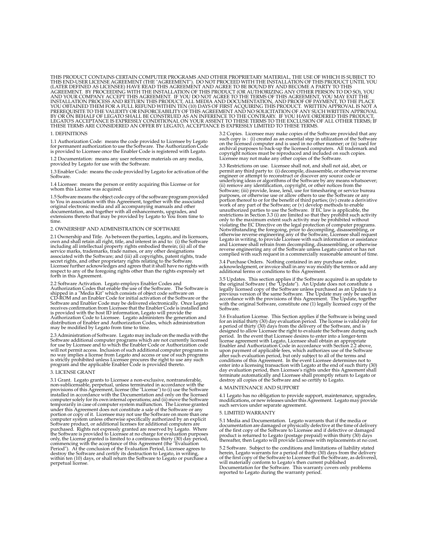THIS PRODUCT CONTAINS CERTAIN COMPUTER PROGRAMS AND OTHER PROPRIETARY MATERIAL, THE USE OF WHICH IS SUBJECT TO THIS END-USER LICENSE AGREEMENT (THE "AGREEMENT"). DO NOT PROCEED WITH THE INSTALLATION OF THIS PRODUCT UNTIL YOU<br>(LATER DEFINED AS LICENSEE) HAVE READ THIS AGREEMENT AND AGREE TO BE BOUND BY AND BECOME A PARTY TO THIS<br>AG AND YOUR COMPANY ACCEPT THIS AGREEMENT. IF YOU DO NOT AGREE TO THE TERMS OF THIS AGREEMENT, YOU MAY EXIT THE<br>INSTALLATION PROCESS AND RETURN THIS PRODUCT, ALL MEDIA AND DOCUMENTATION, AND PROOF OF PAYMENT, TO THE PLACE<br>YOU PREREQUISITE TO THE VALIDITY OR ENFORCEABILITY OF THIS AGREEMENT AND NO SOLICITATION OF ANY SUCH WRITTEN APPROVAL BY OR ON BEHALF OF LEGATO SHALL BE CONSTRUED AS AN INFERENCE TO THE CONTRARY. IF YOU HAVE ORDERED THIS PRODUCT, LEGATO'S ACCEPTANCE IS EXPRESSLY CONDITIONAL ON YOUR ASSENT TO THESE TERMS TO THE EXCLUSION OF ALL OTHER TERMS; IF THESE TERMS ARE CONSIDERED AN OFFER BY LEGATO, ACCEPTANCE IS EXPRESSLY LIMITED TO THESE TERMS.

#### 1. DEFINITIONS

1.1 Authorization Code: means the code provided to Licensee by Legato for permanent authorization to use the Software. The Authorization Code is provided to Licensee once the Enabler Code is registered with Legato.

1.2 Documentation: means any user reference materials on any media, provided by Legato for use with the Software.

1.3 Enabler Code: means the code provided by Legato for activation of the **Software** 

1.4 Licensee: means the person or entity acquiring this License or for whom this License was acquired.

1.5 Software means the object code copy of the software program provided to You in association with this Agreement, together with the associated original electronic media and all accompanying manuals and other documentation, and together with all enhancements, upgrades, and extensions thereto that may be provided by Legato to You from time to time.

#### 2. OWNERSHIP AND ADMINISTRATION OF SOFTWARE

2.1 Ownership and Title. As between the parties, Legato, and its licensors, own and shall retain all right, title, and interest in and to: (i) the Software including all intellectual property rights embodied therein; (ii) all of the service marks, trademarks, trade names, or any other designations associated with the Software; and (iii) all copyrights, patent rights, trade secret rights, and other proprietary rights relating to the Software. Licensee further acknowledges and agrees that it shall have no rights with respect to any of the foregoing rights other than the rights expressly set forth in this Agreement.

2.2 Software Activation. Legato employs Enabler Codes and Authorization Codes that enable the use of the Software. The Software is shipped in a "Media Kit" which consists of object code software on CD-ROM and an Enabler Code for initial activation of the Software or the Software and Enabler Code may be delivered electronically. Once Legato receives confirmation from Licensee that the Enabler Code is installed and is provided with the host ID information, Legato will provide the Authorization Code to Licensee. Legato administers the generation and distribution of Enabler and Authorization Codes, which administration may be modified by Legato from time to time.

2.3 Administration of Software. Legato may include on the media with the Software additional computer programs which are not currently licensed for use by Licensee and to which the Enabler Code or Authorization code will not permit access. Inclusion of such additional computer programs in no way implies a license from Legato and access or use of such programs is strictly prohibited unless Licensee procures the right to use any such program and the applicable Enabler Code is provided thereto.

#### 3. LICENSE GRANT

3.1 Grant. Legato grants to Licensee a non-exclusive, nontransferable, non-sublicensable, perpetual, unless terminated in accordance with the provisions of this Agreement, license (the "License") to (i) use the Software installed in accordance with the Documentation and only on the licensed computer solely for its own internal operations; and (ii) move the Software temporarily in case of computer system malfunction. The License granted under this Agreement does not constitute a sale of the Software or any portion or copy of it. Licensee may not use the Software on more than one computer system unless otherwise specifically authorized by an explicit Software product, or additional licenses for additional computers are purchased. Rights not expressly granted are reserved by Legato. Where the Software is provided to Licensee at no charge for evaluation purposes only, the License granted is limited to a continuous thirty (30) day period, commencing with the acceptance of this Agreement (the "Evaluation Period"). At the conclusion of the Evaluation Period, Licensee agrees to destroy the Software and certify its destruction to Legato, in writing, within ten (10) days, or shall return the Software to Legato or purchase a perpetual license.

3.2 Copies. Licensee may make copies of the Software provided that any such copy is : (i) created as an essential step in utilization of the Software on the licensed computer and is used in no other manner; or (ii) used for archival purposes to back-up the licensed computers. All trademark and copyright notices must be reproduced and included on such copies. Licensee may not make any other copies of the Software.

3.3 Restrictions on use. Licensee shall not, and shall not aid, abet, or permit any third party to: (i) decompile, disassemble, or otherwise reverse engineer or attempt to reconstruct or discover any source code or underlying ideas or algorithms of the Software by any means whatsoever; (ii) remove any identification, copyright, or other notices from the Software; (iii) provide, lease, lend, use for timesharing or service bureau purposes, or otherwise use or allow others to use the Software or any portion thereof to or for the benefit of third parties; (iv) create a derivative work of any part of the Software; or (v) develop methods to enable<br>unauthorized parties to use the Software. If EC law is applicable, the<br>restrictions in Section 3.3 (i) are limited so that they prohibit such activity only to the maximum extent such activity may be prohibited without violating the EC Directive on the legal protection of computer programs. Notwithstanding the foregoing, prior to decompiling, disassembling, or otherwise reverse engineering any of the Software, Licensee shall request Legato in writing, to provide Licensee with such information or assistance and Licensee shall refrain from decompiling, disassembling, or otherwise reverse engineering any of the Software unless Legato cannot or has not complied with such request in a commercially reasonable amount of time.

3.4 Purchase Orders. Nothing contained in any purchase order, acknowledgment, or invoice shall in any way modify the terms or add any additional terms or conditions to this Agreement.

3.5 Updates. This section applies if the Software acquired is an update to<br>the original Software (the "Update"). An Update does not constitute a<br>legally licensed copy of the Software unless purchased as an Update to a<br>prev accordance with the provisions of this Agreement. The Update, together with the original Software, constitute one (1) legally licensed copy of the Software.

3.6 Evaluation License. This Section applies if the Software is being used for an initial thirty (30) day evaluation period. The license is valid only for a period of thirty (30) days from the delivery of the Software, and is designed to allow Licensee the right to evaluate the Software during such period. In the event that Licensee desires to enter into a longer-term license agreement with Legato, Licensee shall obtain an appropriate Enabler and Authorization Code in accordance with Section 2.2 above, upon payment of applicable fees, which authorizes use of the Software after such evaluation period, but only subject to all of the terms and conditions of this Agreement. In the event Licensee determines not to enter into a licensing transaction with Legato at the end of such thirty (30) day evaluation period, then Licensee's rights under this Agreement shall terminate automatically and Licensee shall promptly return to Legato or destroy all copies of the Software and so certify to Legato.

#### 4. MAINTENANCE AND SUPPORT

4.1 Legato has no obligation to provide support, maintenance, upgrades, modifications, or new releases under this Agreement. Legato may provide such services under separate agreement.

#### 5. LIMITED WARRANTY

5.1 Media and Documentation. Legato warrants that if the media or documentation are damaged or physically defective at the time of delivery of the first copy of the Software to Licensee and if defective or damaged product is returned to Legato (postage prepaid) within thirty (30) days thereafter, then Legato will provide Licensee with replacements at no cost.

5.2 Software. Subject to the conditions and limitations of liability stated herein, Legato warrants for a period of thirty (30) days from the delivery of the first copy of the Software to Licensee that the Software, as delivered, will materially conform to Legato's then current published Documentation for the Software. This warranty covers only problems reported to Legato during the warranty period.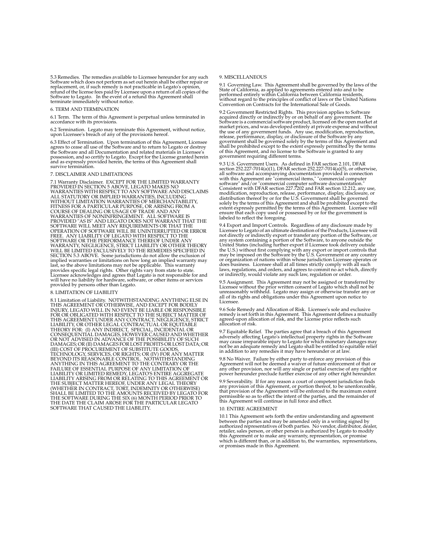5.3 Remedies. The remedies available to Licensee hereunder for any such Software which does not perform as set out herein shall be either repair or replacement, or, if such remedy is not practicable in Legato's opinion, refund of the license fees paid by Licensee upon a return of all copies of the Software to Legato. In the event of a refund this Agreement shall terminate immediately without notice.

#### 6. TERM AND TERMINATION

6.1 Term. The term of this Agreement is perpetual unless terminated in accordance with its provisions.

6.2 Termination. Legato may terminate this Agreement, without notice, upon Licensee's breach of any of the provisions hereof.

6.3 Effect of Termination. Upon termination of this Agreement, Licensee agrees to cease all use of the Software and to return to Legato or destroy the Software and all Documentation and related materials in Licensee's possession, and so certify to Legato. Except for the License granted herein and as expressly provided herein, the terms of this Agreement shall survive termination.

#### 7. DISCLAIMER AND LIMITATIONS

7.1 Warranty Disclaimer. EXCEPT FOR THE LIMITED WARRANTY PROVIDED IN SECTION 5 ABOVE, LEGATO MAKES NO WARRANTIES WITH RESPECT TO ANY SOFTWARE AND DISCLAIMS ALL STATUTORY OR IMPLIED WARRANTIES, INCLUDING WITHOUT LIMITATION WARRANTIES OF MERCHANTABILITY, FITNESS FOR A PARTICULAR PURPOSE, OR ARISING FROM A COURSE OF DEALING OR USAGE OF TRADE AND ANY WARRANTIES OF NONINFRINGEMENT. ALL SOFTWARE IS PROVIDED "AS IS" AND LEGATO DOES NOT WARRANT THAT THE SOFTWARE WILL MEET ANY REQUIREMENTS OR THAT THE OPERATION OF SOFTWARE WILL BE UNINTERRUPTED OR ERROR FREE. ANY LIABILITY OF LEGATO WITH RESPECT TO THE SOFTWARE OR THE PERFORMANCE THEREOF UNDER ANY WARRANTY, NEGLIGENCE, STRICT LIABILITY OR OTHER THEORY WILL BE LIMITED EXCLUSIVELY TO THE REMEDIES SPECIFIED IN SECTION 5.3 ABOVE. Some jurisdictions do not allow the exclusion of implied warranties or limitations on how long an implied warranty may last, so the above limitations may not be applicable. This warranty provides specific legal rights. Other rights vary from state to state. Licensee acknowledges and agrees that Legato is not responsible for and will have no liability for hardware, software, or other items or services provided by persons other than Legato.

#### 8. LIMITATION OF LIABILITY

8.1 Limitation of Liability. NOTWITHSTANDING ANYTHING ELSE IN THIS AGREEMENT OR OTHERWISE, AND EXCEPT FOR BODILY INJURY, LEGATO WILL IN NO EVENT BE LIABLE OR RESPONSIBLE FOR OR OBLIGATED WITH RESPECT TO THE SUBJECT MATTER OF<br>THIS AGREEMENT UNDER ANY CONTRACT, NEGLIGENCE, STRICT<br>LIABILITY, OR OTHER LEGAL CONTRACTUAL OR EQUITABLE THEORY FOR: (I) ANY INDIRECT, SPECIAL, INCIDENTAL OR CONSEQUENTIAL DAMAGES, HOWEVER CAUSED AND WHETHER OR NOT ADVISED IN ADVANCE OF THE POSSIBILITY OF SUCH DAMAGES; OR (II) DAMAGES FOR LOST PROFITS OR LOST DATA; OR (III) COST OF PROCUREMENT OF SUBSTITUTE GOODS, TECHNOLOGY, SERVICES, OR RIGHTS; OR (IV) FOR ANY MATTER BEYOND ITS REASONABLE CONTROL. NOTWITHSTANDING ANYTHING IN THIS AGREEMENT TO THE CONTRARY OR THE FAILURE OF ESSENTIAL PURPOSE OF ANY LIMITATION OF LIABILITY OR LIMITED REMEDY, LEGATO'S ENTIRE AGGREGATE<br>LIABILITY ARISING FROM OR RELATING TO THIS AGREEMENT OR<br>THE SUBJECT MATTER HEREOF, UNDER ANY LEGAL THEORY (WHETHER IN CONTRACT, TORT, INDEMNITY OR OTHERWISE) SHALL BE LIMITED TO THE AMOUNTS RECEIVED BY LEGATO FOR THE SOFTWARE DURING THE SIX (6) MONTH PERIOD PRIOR TO THE DATE THE CLAIM AROSE FOR THE PARTICULAR LEGATO SOFTWARE THAT CAUSED THE LIABILITY.

#### 9. MISCELLANEOUS

9.1 Governing Law. This Agreement shall be governed by the laws of the State of California, as applied to agreements entered into and to be performed entirely within California between California residents, without regard to the principles of conflict of laws or the United Nations Convention on Contracts for the International Sale of Goods.

9.2 Government Restricted Rights. This provision applies to Software acquired directly or indirectly by or on behalf of any government. The Software is a commercial software product, licensed on the open market at market prices, and was developed entirely at private expense and without the use of any government funds. Any use, modification, reproduction, release, performance, display, or disclosure of the Software by any government shall be governed solely by the terms of this Agreement and shall be prohibited except to the extent expressly permitted by the terms of this Agreement, and no license to the Software is granted to any government requiring different terms.

9.3 U.S. Government Users. As defined in FAR section 2.101, DFAR section 252.227-7014(a)(1), DFAR section 252.227-7014(a)(5), or otherwise, all software and accompanying documentation provided in connection with this Agreement are "commercial items," "commercial computer software" and/or "commercial computer software documentation." Consistent with DFAR section 227.7202 and FAR section 12.212, any use, modification, reproduction, release, performance, display, disclosure, or distribution thereof by or for the U.S. Government shall be governed solely by the terms of this Agreement and shall be prohibited except to the extent expressly permitted by the terms of this Agreement. Licensee will ensure that each copy used or possessed by or for the government is labeled to reflect the foregoing.

9.4 Export and Import Controls. Regardless of any disclosure made by Licensee to Legato of an ultimate destination of the Products, Licensee will not directly or indirectly export or transfer any portion of the Software, or any system containing a portion of the Software, to anyone outside the United States (including further export if Licensee took delivery outside the U.S.) without first complying with any export or import controls that may be imposed on the Software by the U.S. Government or any country or organization of nations within whose jurisdiction Licensee operates or does business. Licensee shall at all times strictly comply with all such laws, regulations, and orders, and agrees to commit no act which, directly or indirectly, would violate any such law, regulation or order.

9.5 Assignment. This Agreement may not be assigned or transferred by Licensee without the prior written consent of Legato which shall not be unreasonably withheld. Legato may assign or otherwise transfer any or all of its rights and obligations under this Agreement upon notice to Licensee.

9.6 Sole Remedy and Allocation of Risk. Licensee's sole and exclusive remedy is set forth in this Agreement. This Agreement defines a mutually agreed-upon allocation of risk, and the License price reflects such allocation of risk.

9.7 Equitable Relief. The parties agree that a breach of this Agreement adversely affecting Legato's intellectual property rights in the Software may cause irreparable injury to Legato for which monetary damages may not be an adequate remedy and Legato shall be entitled to equitable relief in addition to any remedies it may have hereunder or at law.

9.8 No Waiver. Failure by either party to enforce any provision of this Agreement will not be deemed a waiver of future enforcement of that or any other provision, nor will any single or partial exercise of any right or power hereunder preclude further exercise of any other right hereunder.

9.9 Severability. If for any reason a court of competent jurisdiction finds any provision of this Agreement, or portion thereof, to be unenforceable, that provision of the Agreement will be enforced to the maximum extent permissible so as to effect the intent of the parties, and the remainder of this Agreement will continue in full force and effect.

#### 10. ENTIRE AGREEMENT

10.1 This Agreement sets forth the entire understanding and agreement between the parties and may be amended only in a writing signed by authorized representatives of both parties. No vendor, distributor, dealer, retailer, sales person, or other person is authorized by Legato to modify this Agreement or to make any warranty, representation, or promise which is different than, or in addition to, the warranties, representations, or promises made in this Agreement.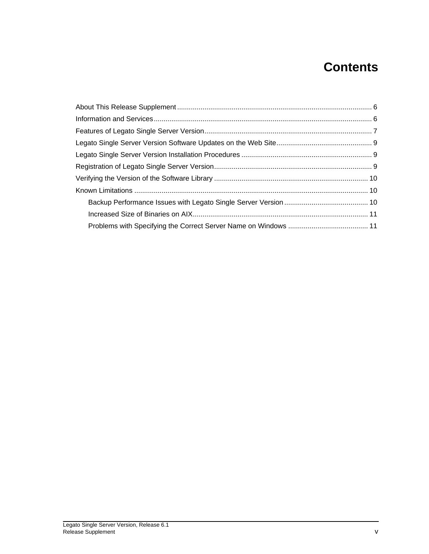# **Contents**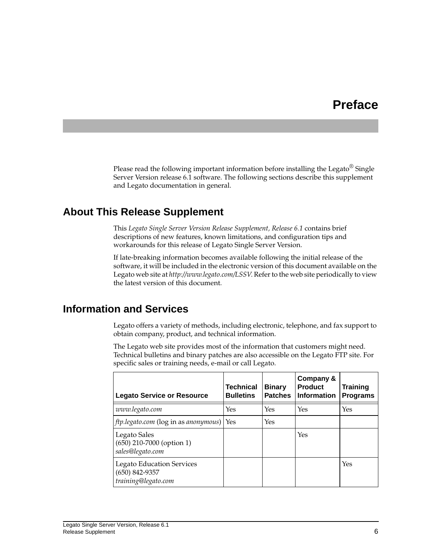## **Preface**

Please read the following important information before installing the Legato<sup>®</sup> Single Server Version release 6.1 software. The following sections describe this supplement and Legato documentation in general.

### <span id="page-5-0"></span>**About This Release Supplement**

This *Legato Single Server Version Release Supplement, Release 6.1* contains brief descriptions of new features, known limitations, and configuration tips and workarounds for this release of Legato Single Server Version.

If late-breaking information becomes available following the initial release of the software, it will be included in the electronic version of this document available on the Legato web site at *http://www.legato.com/LSSV*. Refer to the web site periodically to view the latest version of this document.

### <span id="page-5-1"></span>**Information and Services**

Legato offers a variety of methods, including electronic, telephone, and fax support to obtain company, product, and technical information.

The Legato web site provides most of the information that customers might need. Technical bulletins and binary patches are also accessible on the Legato FTP site. For specific sales or training needs, e-mail or call Legato.

| <b>Legato Service or Resource</b>                                           | <b>Technical</b><br><b>Bulletins</b> | <b>Binary</b><br><b>Patches</b> | Company &<br><b>Product</b><br><b>Information</b> | <b>Training</b><br><b>Programs</b> |
|-----------------------------------------------------------------------------|--------------------------------------|---------------------------------|---------------------------------------------------|------------------------------------|
| www.legato.com                                                              | Yes                                  | Yes                             | Yes                                               | Yes                                |
| $ftp.length.com$ (log in as anonymous)   Yes                                |                                      | Yes                             |                                                   |                                    |
| Legato Sales<br>$(650)$ 210-7000 (option 1)<br>sales@legato.com             |                                      |                                 | Yes                                               |                                    |
| <b>Legato Education Services</b><br>$(650)$ 842-9357<br>training@legato.com |                                      |                                 |                                                   | Yes                                |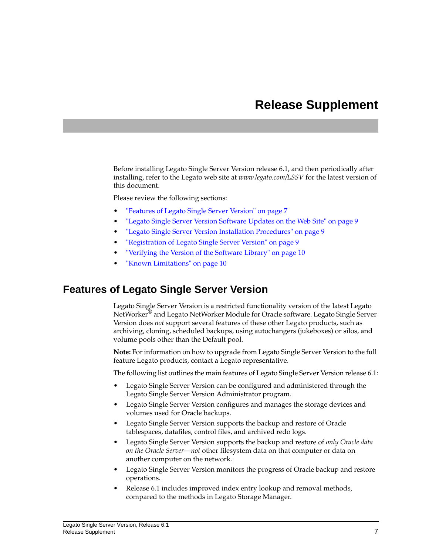## **Release Supplement**

Before installing Legato Single Server Version release 6.1, and then periodically after installing, refer to the Legato web site at *www.legato.com/LSSV* for the latest version of this document.

Please review the following sections:

- ["Features of Legato Single Server Version" on page 7](#page-6-0)
- ["Legato Single Server Version Software Updates on the Web Site" on page 9](#page-8-0)
- ["Legato Single Server Version Installation Procedures" on page 9](#page-8-1)
- ["Registration of Legato Single Server Version" on page 9](#page-8-2)
- ["Verifying the Version of the Software Library" on page 10](#page-9-0)
- ["Known Limitations" on page 10](#page-9-1)

### <span id="page-6-0"></span>**Features of Legato Single Server Version**

Legato Single Server Version is a restricted functionality version of the latest Legato NetWorker® and Legato NetWorker Module for Oracle software. Legato Single Server Version does *not* support several features of these other Legato products, such as archiving, cloning, scheduled backups, using autochangers (jukeboxes) or silos, and volume pools other than the Default pool.

**Note:** For information on how to upgrade from Legato Single Server Version to the full feature Legato products, contact a Legato representative.

The following list outlines the main features of Legato Single Server Version release 6.1:

- Legato Single Server Version can be configured and administered through the Legato Single Server Version Administrator program.
- Legato Single Server Version configures and manages the storage devices and volumes used for Oracle backups.
- Legato Single Server Version supports the backup and restore of Oracle tablespaces, datafiles, control files, and archived redo logs.
- Legato Single Server Version supports the backup and restore of *only Oracle data on the Oracle Server*—*not* other filesystem data on that computer or data on another computer on the network.
- Legato Single Server Version monitors the progress of Oracle backup and restore operations.
- Release 6.1 includes improved index entry lookup and removal methods, compared to the methods in Legato Storage Manager.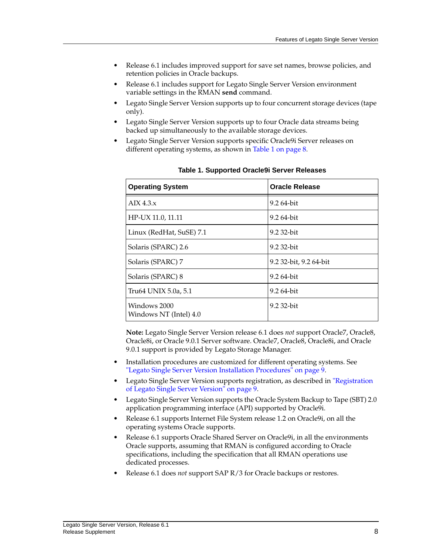- Release 6.1 includes improved support for save set names, browse policies, and retention policies in Oracle backups.
- Release 6.1 includes support for Legato Single Server Version environment variable settings in the RMAN **send** command.
- Legato Single Server Version supports up to four concurrent storage devices (tape only).
- Legato Single Server Version supports up to four Oracle data streams being backed up simultaneously to the available storage devices.
- Legato Single Server Version supports specific Oracle9i Server releases on different operating systems, as shown in [Table 1 on page 8](#page-7-0).

<span id="page-7-0"></span>

| <b>Operating System</b>                | <b>Oracle Release</b>  |
|----------------------------------------|------------------------|
| AIX $4.3.x$                            | 9.2 64-bit             |
| HP-UX 11.0, 11.11                      | 9.2 64-bit             |
| Linux (RedHat, SuSE) 7.1               | 9.2 32-bit             |
| Solaris (SPARC) 2.6                    | 9.2 32-bit             |
| Solaris (SPARC) 7                      | 9.2 32-bit, 9.2 64-bit |
| Solaris (SPARC) 8                      | 9.2 64-bit             |
| Tru64 UNIX 5.0a, 5.1                   | 9.2 64-bit             |
| Windows 2000<br>Windows NT (Intel) 4.0 | $9.232$ -bit           |

**Table 1. Supported Oracle9i Server Releases**

**Note:** Legato Single Server Version release 6.1 does *not* support Oracle7, Oracle8, Oracle8i, or Oracle 9.0.1 Server software. Oracle7, Oracle8, Oracle8i, and Oracle 9.0.1 support is provided by Legato Storage Manager.

- Installation procedures are customized for different operating systems. See ["Legato Single Server Version Installation Procedures" on page 9.](#page-8-1)
- Legato Single Server Version supports registration, as described in ["Registration](#page-8-2) [of Legato Single Server Version" on page 9.](#page-8-2)
- Legato Single Server Version supports the Oracle System Backup to Tape (SBT) 2.0 application programming interface (API) supported by Oracle9i.
- Release 6.1 supports Internet File System release 1.2 on Oracle9i, on all the operating systems Oracle supports.
- Release 6.1 supports Oracle Shared Server on Oracle9i, in all the environments Oracle supports, assuming that RMAN is configured according to Oracle specifications, including the specification that all RMAN operations use dedicated processes.
- Release 6.1 does *not* support SAP R/3 for Oracle backups or restores.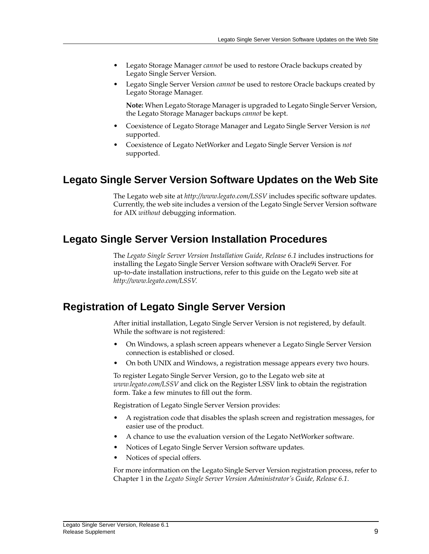- Legato Storage Manager *cannot* be used to restore Oracle backups created by Legato Single Server Version.
- Legato Single Server Version *cannot* be used to restore Oracle backups created by Legato Storage Manager.

**Note:** When Legato Storage Manager is upgraded to Legato Single Server Version, the Legato Storage Manager backups *cannot* be kept.

- Coexistence of Legato Storage Manager and Legato Single Server Version is *not* supported.
- Coexistence of Legato NetWorker and Legato Single Server Version is *not* supported.

### <span id="page-8-0"></span>**Legato Single Server Version Software Updates on the Web Site**

The Legato web site at *http://www.legato.com/LSSV* includes specific software updates. Currently, the web site includes a version of the Legato Single Server Version software for AIX *without* debugging information.

### <span id="page-8-1"></span>**Legato Single Server Version Installation Procedures**

The *Legato Single Server Version Installation Guide, Release 6.1* includes instructions for installing the Legato Single Server Version software with Oracle9i Server. For up-to-date installation instructions, refer to this guide on the Legato web site at *http://www.legato.com/LSSV*.

## <span id="page-8-2"></span>**Registration of Legato Single Server Version**

After initial installation, Legato Single Server Version is not registered, by default. While the software is not registered:

- On Windows, a splash screen appears whenever a Legato Single Server Version connection is established or closed.
- On both UNIX and Windows, a registration message appears every two hours.

To register Legato Single Server Version, go to the Legato web site at *www.legato.com/LSSV* and click on the Register LSSV link to obtain the registration form. Take a few minutes to fill out the form.

Registration of Legato Single Server Version provides:

- A registration code that disables the splash screen and registration messages, for easier use of the product.
- A chance to use the evaluation version of the Legato NetWorker software.
- Notices of Legato Single Server Version software updates.
- Notices of special offers.

For more information on the Legato Single Server Version registration process, refer to Chapter 1 in the *Legato Single Server Version Administrator's Guide, Release 6.1*.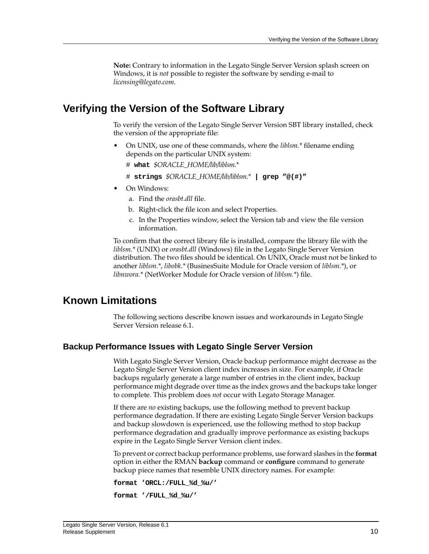**Note:** Contrary to information in the Legato Single Server Version splash screen on Windows, it is *not* possible to register the software by sending e-mail to *licensing@legato.com*.

### <span id="page-9-0"></span>**Verifying the Version of the Software Library**

To verify the version of the Legato Single Server Version SBT library installed, check the version of the appropriate file:

- On UNIX, use one of these commands, where the *liblsm.\** filename ending depends on the particular UNIX system:
	- # **what** *\$ORACLE\_HOME/lib/liblsm.\**
	- # **strings** *\$ORACLE\_HOME/lib/liblsm.\** **| grep "@(#)"**
- On Windows:
	- a. Find the *orasbt.dll* file.
	- b. Right-click the file icon and select Properties.
	- c. In the Properties window, select the Version tab and view the file version information.

To confirm that the correct library file is installed, compare the library file with the *liblsm.\** (UNIX) or *orasbt.dll* (Windows) file in the Legato Single Server Version distribution. The two files should be identical. On UNIX, Oracle must not be linked to another *liblsm.\**, *libobk.\** (BusinesSuite Module for Oracle version of *liblsm.\**), or *libnwora.\** (NetWorker Module for Oracle version of *liblsm.\**) file.

### <span id="page-9-1"></span>**Known Limitations**

The following sections describe known issues and workarounds in Legato Single Server Version release 6.1.

### <span id="page-9-2"></span>**Backup Performance Issues with Legato Single Server Version**

With Legato Single Server Version, Oracle backup performance might decrease as the Legato Single Server Version client index increases in size. For example, if Oracle backups regularly generate a large number of entries in the client index, backup performance might degrade over time as the index grows and the backups take longer to complete. This problem does *not* occur with Legato Storage Manager.

If there are *no* existing backups, use the following method to prevent backup performance degradation. If there are existing Legato Single Server Version backups and backup slowdown is experienced, use the following method to stop backup performance degradation and gradually improve performance as existing backups expire in the Legato Single Server Version client index.

To prevent or correct backup performance problems, use forward slashes in the **format** option in either the RMAN **backup** command or **configure** command to generate backup piece names that resemble UNIX directory names. For example:

```
format 'ORCL:/FULL_%d_%u/'
```

```
format '/FULL_%d_%u/'
```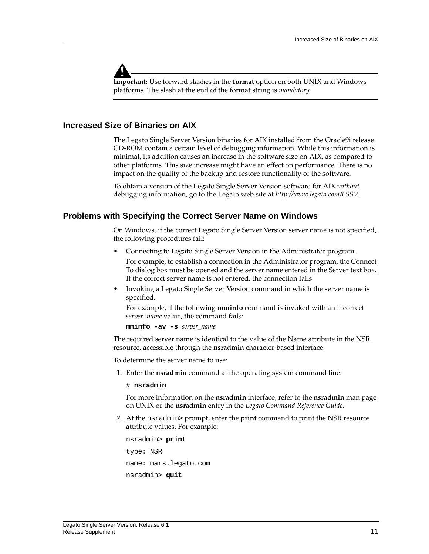

**Important:** Use forward slashes in the **format** option on both UNIX and Windows platforms. The slash at the end of the format string is *mandatory*.

### <span id="page-10-0"></span>**Increased Size of Binaries on AIX**

The Legato Single Server Version binaries for AIX installed from the Oracle9i release CD-ROM contain a certain level of debugging information. While this information is minimal, its addition causes an increase in the software size on AIX, as compared to other platforms. This size increase might have an effect on performance. There is no impact on the quality of the backup and restore functionality of the software.

To obtain a version of the Legato Single Server Version software for AIX *without* debugging information, go to the Legato web site at *http://www.legato.com/LSSV*.

### <span id="page-10-1"></span>**Problems with Specifying the Correct Server Name on Windows**

On Windows, if the correct Legato Single Server Version server name is not specified, the following procedures fail:

• Connecting to Legato Single Server Version in the Administrator program.

For example, to establish a connection in the Administrator program, the Connect To dialog box must be opened and the server name entered in the Server text box. If the correct server name is not entered, the connection fails.

• Invoking a Legato Single Server Version command in which the server name is specified.

For example, if the following **mminfo** command is invoked with an incorrect *server\_name* value, the command fails:

**mminfo -av -s** *server\_name*

The required server name is identical to the value of the Name attribute in the NSR resource, accessible through the **nsradmin** character-based interface.

To determine the server name to use:

1. Enter the **nsradmin** command at the operating system command line:

# **nsradmin**

For more information on the **nsradmin** interface, refer to the **nsradmin** man page on UNIX or the **nsradmin** entry in the *Legato Command Reference Guide*.

2. At the nsradmin> prompt, enter the **print** command to print the NSR resource attribute values. For example:

```
nsradmin> print
type: NSR
name: mars.legato.com
nsradmin> quit
```